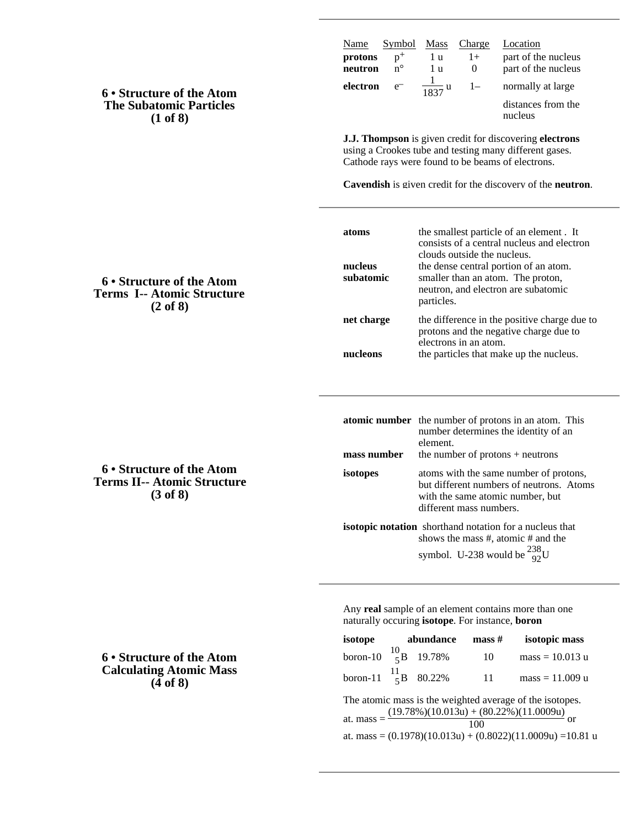| <b>6 • Structure of the Atom</b> |
|----------------------------------|
| <b>The Subatomic Particles</b>   |
| (1 of 8)                         |

| Name               | Symbol               | Mass             | Charge               | Location                                   |
|--------------------|----------------------|------------------|----------------------|--------------------------------------------|
| protons<br>neutron | $p^+$<br>$n^{\circ}$ | lu<br>1 บ        | $1+$<br>$\mathbf{U}$ | part of the nucleus<br>part of the nucleus |
| electron           | $e^{-}$              | $\frac{1837}{u}$ | $1-$                 | normally at large                          |
|                    |                      |                  |                      | distances from the<br>nucleus              |

**J.J. Thompson** is given credit for discovering **electrons** using a Crookes tube and testing many different gases. Cathode rays were found to be beams of electrons.

**Cavendish** is given credit for the discovery of the **neutron**.

| atoms<br>nucleus<br>subatomic | the smallest particle of an element. It<br>consists of a central nucleus and electron<br>clouds outside the nucleus.<br>the dense central portion of an atom.<br>smaller than an atom. The proton,<br>neutron, and electron are subatomic<br>particles. |
|-------------------------------|---------------------------------------------------------------------------------------------------------------------------------------------------------------------------------------------------------------------------------------------------------|
| net charge                    | the difference in the positive charge due to<br>protons and the negative charge due to<br>electrons in an atom.                                                                                                                                         |
| nucleons                      | the particles that make up the nucleus.                                                                                                                                                                                                                 |

|                                                                | <b>atomic number</b> the number of protons in an atom. This<br>number determines the identity of an<br>element.                                   |  |  |  |
|----------------------------------------------------------------|---------------------------------------------------------------------------------------------------------------------------------------------------|--|--|--|
| mass number                                                    | the number of protons $+$ neutrons                                                                                                                |  |  |  |
| isotopes                                                       | atoms with the same number of protons,<br>but different numbers of neutrons. Atoms<br>with the same atomic number, but<br>different mass numbers. |  |  |  |
| <b>isotopic notation</b> shorthand notation for a nucleus that |                                                                                                                                                   |  |  |  |
|                                                                | shows the mass #, atomic # and the                                                                                                                |  |  |  |
|                                                                | symbol. U-238 would be $^{238}_{92}$ U                                                                                                            |  |  |  |

Any **real** sample of an element contains more than one naturally occuring **isotope**. For instance, **boron**

| isotope                                                                                                                                                                                              | abundance |  | $\mathbf{mass} \#$ | isotopic mass     |  |  |  |
|------------------------------------------------------------------------------------------------------------------------------------------------------------------------------------------------------|-----------|--|--------------------|-------------------|--|--|--|
| boron-10 $^{10}_{5}$ B 19.78%                                                                                                                                                                        |           |  | 10                 | $mass = 10.013 u$ |  |  |  |
| boron-11 $^{11}_{5}$ B 80.22%                                                                                                                                                                        |           |  | 11                 | $mass = 11.009 u$ |  |  |  |
| The atomic mass is the weighted average of the isotopes.<br>at. mass = $\frac{(19.78\%)(10.013u) + (80.22\%)(11.0009u)}{100}$<br>100<br>at. mass = $(0.1978)(10.013u) + (0.8022)(11.0009u) = 10.81u$ |           |  |                    |                   |  |  |  |

**6 • Structure of the Atom Terms I-- Atomic Structure (2 of 8)**

**6 • Structure of the Atom Terms II-- Atomic Structure (3 of 8)**

**6 • Structure of the Atom Calculating Atomic Mass (4 of 8)**